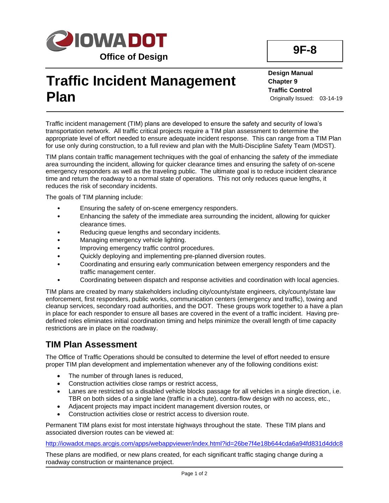

# **Traffic Incident Management Plan**

**Design Manual Chapter 9 Traffic Control** Originally Issued: 03-14-19

Traffic incident management (TIM) plans are developed to ensure the safety and security of Iowa's transportation network. All traffic critical projects require a TIM plan assessment to determine the appropriate level of effort needed to ensure adequate incident response. This can range from a TIM Plan for use only during construction, to a full review and plan with the Multi-Discipline Safety Team (MDST).

TIM plans contain traffic management techniques with the goal of enhancing the safety of the immediate area surrounding the incident, allowing for quicker clearance times and ensuring the safety of on-scene emergency responders as well as the traveling public. The ultimate goal is to reduce incident clearance time and return the roadway to a normal state of operations. This not only reduces queue lengths, it reduces the risk of secondary incidents.

The goals of TIM planning include:

- Ensuring the safety of on-scene emergency responders.
- Enhancing the safety of the immediate area surrounding the incident, allowing for quicker clearance times.
- Reducing queue lengths and secondary incidents.
- Managing emergency vehicle lighting.
- Improving emergency traffic control procedures.
- Quickly deploying and implementing pre-planned diversion routes.
- Coordinating and ensuring early communication between emergency responders and the traffic management center.
- Coordinating between dispatch and response activities and coordination with local agencies.

TIM plans are created by many stakeholders including city/county/state engineers, city/county/state law enforcement, first responders, public works, communication centers (emergency and traffic), towing and cleanup services, secondary road authorities, and the DOT. These groups work together to a have a plan in place for each responder to ensure all bases are covered in the event of a traffic incident. Having predefined roles eliminates initial coordination timing and helps minimize the overall length of time capacity restrictions are in place on the roadway.

#### **TIM Plan Assessment**

The Office of Traffic Operations should be consulted to determine the level of effort needed to ensure proper TIM plan development and implementation whenever any of the following conditions exist:

- The number of through lanes is reduced,
- Construction activities close ramps or restrict access,
- Lanes are restricted so a disabled vehicle blocks passage for all vehicles in a single direction, i.e. TBR on both sides of a single lane (traffic in a chute), contra-flow design with no access, etc.,
- Adjacent projects may impact incident management diversion routes, or
- Construction activities close or restrict access to diversion route.

Permanent TIM plans exist for most interstate highways throughout the state. These TIM plans and associated diversion routes can be viewed at:

<http://iowadot.maps.arcgis.com/apps/webappviewer/index.html?id=26be7f4e18b644cda6a94fd831d4ddc8>

These plans are modified, or new plans created, for each significant traffic staging change during a roadway construction or maintenance project.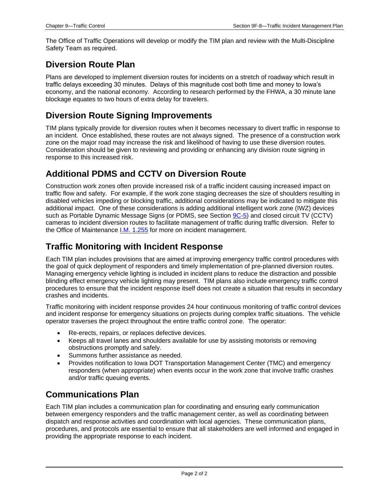The Office of Traffic Operations will develop or modify the TIM plan and review with the Multi-Discipline Safety Team as required.

#### **Diversion Route Plan**

Plans are developed to implement diversion routes for incidents on a stretch of roadway which result in traffic delays exceeding 30 minutes. Delays of this magnitude cost both time and money to Iowa's economy, and the national economy. According to research performed by the FHWA, a 30 minute lane blockage equates to two hours of extra delay for travelers.

#### **Diversion Route Signing Improvements**

TIM plans typically provide for diversion routes when it becomes necessary to divert traffic in response to an incident. Once established, these routes are not always signed. The presence of a construction work zone on the major road may increase the risk and likelihood of having to use these diversion routes. Consideration should be given to reviewing and providing or enhancing any division route signing in response to this increased risk.

### **Additional PDMS and CCTV on Diversion Route**

Construction work zones often provide increased risk of a traffic incident causing increased impact on traffic flow and safety. For example, if the work zone staging decreases the size of shoulders resulting in disabled vehicles impeding or blocking traffic, additional considerations may be indicated to mitigate this additional impact. One of these considerations is adding additional intelligent work zone (IWZ) devices such as Portable Dynamic Message Signs (or PDMS, see Section  $9C-5$ ) and closed circuit TV (CCTV) cameras to incident diversion routes to facilitate management of traffic during traffic diversion. Refer to the Office of Maintenance [I.M. 1.255](../../traffic/manuals/pdf/1001-255im.pdf) for more on incident management.

#### **Traffic Monitoring with Incident Response**

Each TIM plan includes provisions that are aimed at improving emergency traffic control procedures with the goal of quick deployment of responders and timely implementation of pre-planned diversion routes. Managing emergency vehicle lighting is included in incident plans to reduce the distraction and possible blinding effect emergency vehicle lighting may present. TIM plans also include emergency traffic control procedures to ensure that the incident response itself does not create a situation that results in secondary crashes and incidents.

Traffic monitoring with incident response provides 24 hour continuous monitoring of traffic control devices and incident response for emergency situations on projects during complex traffic situations. The vehicle operator traverses the project throughout the entire traffic control zone. The operator:

- Re-erects, repairs, or replaces defective devices.
- Keeps all travel lanes and shoulders available for use by assisting motorists or removing obstructions promptly and safely.
- Summons further assistance as needed.
- Provides notification to Iowa DOT Transportation Management Center (TMC) and emergency responders (when appropriate) when events occur in the work zone that involve traffic crashes and/or traffic queuing events.

### **Communications Plan**

Each TIM plan includes a communication plan for coordinating and ensuring early communication between emergency responders and the traffic management center, as well as coordinating between dispatch and response activities and coordination with local agencies. These communication plans, procedures, and protocols are essential to ensure that all stakeholders are well informed and engaged in providing the appropriate response to each incident.